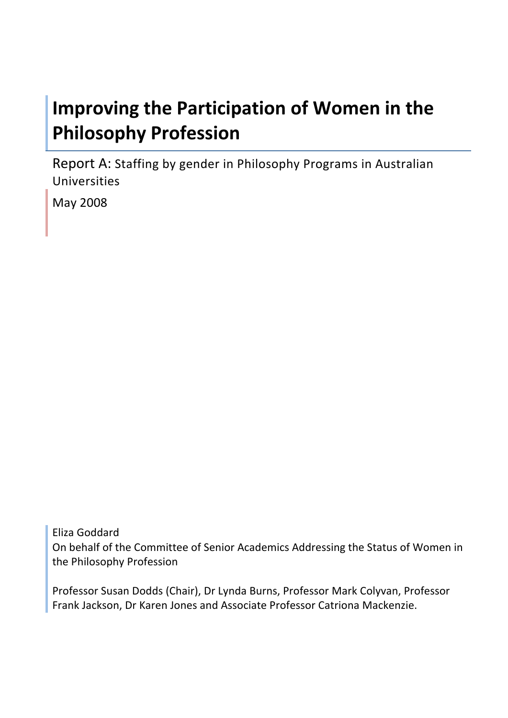# **Improving the Participation of Women in the Philosophy Profession**

Report A: Staffing by gender in Philosophy Programs in Australian Universities

May 2008

Eliza Goddard On behalf of the Committee of Senior Academics Addressing the Status of Women in the Philosophy Profession

Professor Susan Dodds (Chair), Dr Lynda Burns, Professor Mark Colyvan, Professor Frank Jackson, Dr Karen Jones and Associate Professor Catriona Mackenzie.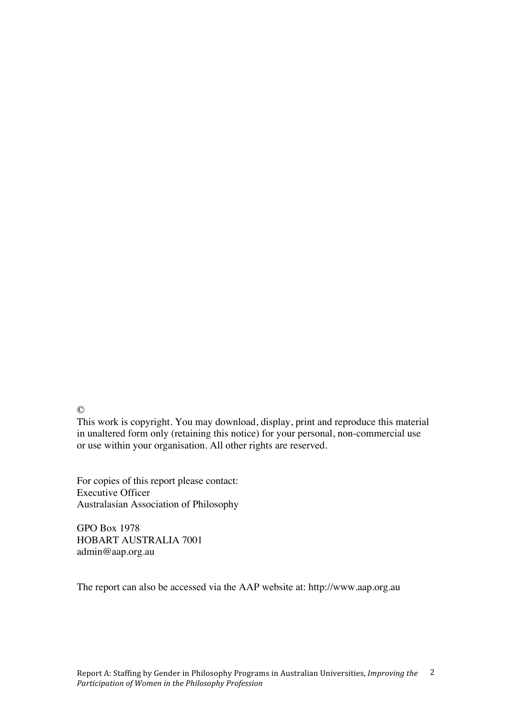©

This work is copyright. You may download, display, print and reproduce this material in unaltered form only (retaining this notice) for your personal, non-commercial use or use within your organisation. All other rights are reserved.

For copies of this report please contact: Executive Officer Australasian Association of Philosophy

GPO Box 1978 HOBART AUSTRALIA 7001 admin@aap.org.au

The report can also be accessed via the AAP website at: http://www.aap.org.au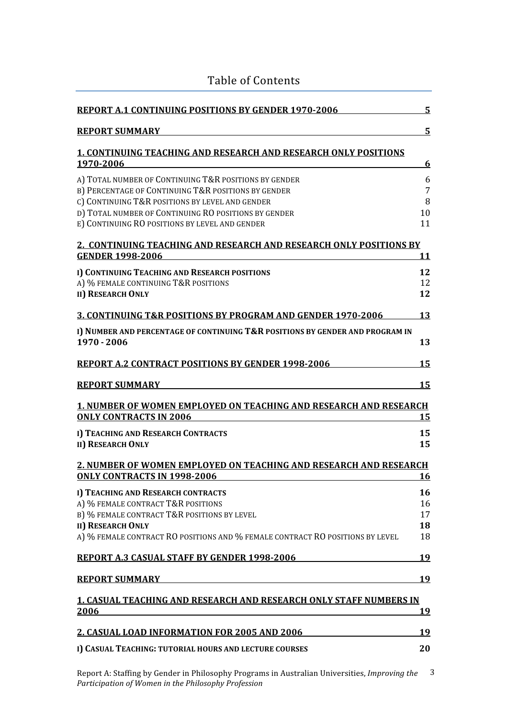| <b>REPORT A.1 CONTINUING POSITIONS BY GENDER 1970-2006</b>                                                                                                                                                                                                                | 5                          |
|---------------------------------------------------------------------------------------------------------------------------------------------------------------------------------------------------------------------------------------------------------------------------|----------------------------|
| <b>REPORT SUMMARY</b>                                                                                                                                                                                                                                                     | 5                          |
| <b>1. CONTINUING TEACHING AND RESEARCH AND RESEARCH ONLY POSITIONS</b><br>1970-2006                                                                                                                                                                                       | 6                          |
| A) TOTAL NUMBER OF CONTINUING T&R POSITIONS BY GENDER<br>B) PERCENTAGE OF CONTINUING T&R POSITIONS BY GENDER<br>C) CONTINUING T&R POSITIONS BY LEVEL AND GENDER<br>D) TOTAL NUMBER OF CONTINUING RO POSITIONS BY GENDER<br>E) CONTINUING RO POSITIONS BY LEVEL AND GENDER | 6<br>7<br>8<br>10<br>11    |
| 2. CONTINUING TEACHING AND RESEARCH AND RESEARCH ONLY POSITIONS BY<br><b>GENDER 1998-2006</b>                                                                                                                                                                             | <u>11</u>                  |
| I) CONTINUING TEACHING AND RESEARCH POSITIONS<br>A) % FEMALE CONTINUING T&R POSITIONS<br><b>II) RESEARCH ONLY</b>                                                                                                                                                         | 12<br>12<br>12             |
| <b>3. CONTINUING T&amp;R POSITIONS BY PROGRAM AND GENDER 1970-2006</b>                                                                                                                                                                                                    | 13                         |
| I) NUMBER AND PERCENTAGE OF CONTINUING T&R POSITIONS BY GENDER AND PROGRAM IN<br>1970 - 2006                                                                                                                                                                              | 13                         |
| <b>REPORT A.2 CONTRACT POSITIONS BY GENDER 1998-2006</b>                                                                                                                                                                                                                  | 15                         |
| <b>REPORT SUMMARY</b>                                                                                                                                                                                                                                                     | 15                         |
| <b>1. NUMBER OF WOMEN EMPLOYED ON TEACHING AND RESEARCH AND RESEARCH</b><br><b>ONLY CONTRACTS IN 2006</b>                                                                                                                                                                 | <u> 15</u>                 |
| I) TEACHING AND RESEARCH CONTRACTS<br><b>II) RESEARCH ONLY</b>                                                                                                                                                                                                            | 15<br>15                   |
| 2. NUMBER OF WOMEN EMPLOYED ON TEACHING AND RESEARCH AND RESEARCH<br><b>ONLY CONTRACTS IN 1998-2006</b>                                                                                                                                                                   | <u> 16</u>                 |
| I) TEACHING AND RESEARCH CONTRACTS<br>A) % FEMALE CONTRACT T&R POSITIONS<br>B) % FEMALE CONTRACT T&R POSITIONS BY LEVEL<br><b>II) RESEARCH ONLY</b><br>A) % FEMALE CONTRACT RO POSITIONS AND % FEMALE CONTRACT RO POSITIONS BY LEVEL                                      | 16<br>16<br>17<br>18<br>18 |
| <b>REPORT A.3 CASUAL STAFF BY GENDER 1998-2006</b>                                                                                                                                                                                                                        | 19                         |
| <b>REPORT SUMMARY</b>                                                                                                                                                                                                                                                     | 19                         |
| <b>1. CASUAL TEACHING AND RESEARCH AND RESEARCH ONLY STAFF NUMBERS IN</b><br><u>2006</u>                                                                                                                                                                                  | <u>19</u>                  |
| 2. CASUAL LOAD INFORMATION FOR 2005 AND 2006                                                                                                                                                                                                                              | 19                         |
| I) CASUAL TEACHING: TUTORIAL HOURS AND LECTURE COURSES                                                                                                                                                                                                                    | 20                         |

Table of Contents

Report A: Staffing by Gender in Philosophy Programs in Australian Universities, *Improving the*  3 *Participation of Women in the Philosophy Profession*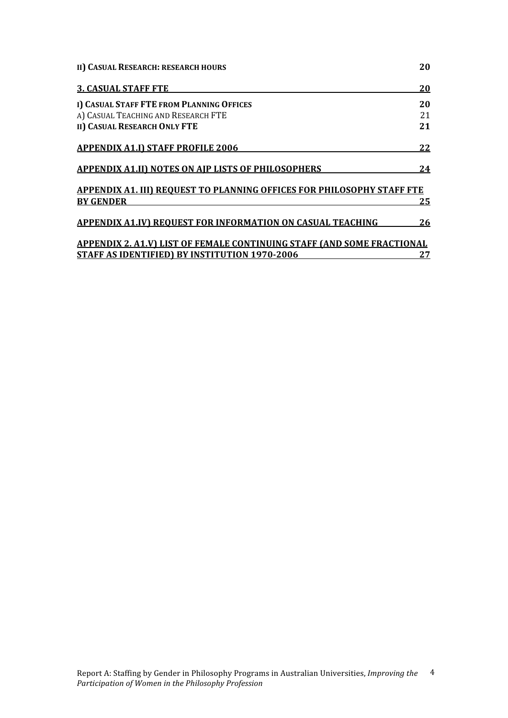| 20<br>20<br>21<br>21<br>22<br>24<br><b>APPENDIX A1. III) REOUEST TO PLANNING OFFICES FOR PHILOSOPHY STAFF FTE</b><br><b>BY GENDER</b><br>25<br>26<br><b>APPENDIX 2. A1.V) LIST OF FEMALE CONTINUING STAFF (AND SOME FRACTIONAL</b><br>27 | II) CASUAL RESEARCH: RESEARCH HOURS                               | 20 |
|------------------------------------------------------------------------------------------------------------------------------------------------------------------------------------------------------------------------------------------|-------------------------------------------------------------------|----|
|                                                                                                                                                                                                                                          | <b>3. CASUAL STAFF FTE</b>                                        |    |
|                                                                                                                                                                                                                                          | I) CASUAL STAFF FTE FROM PLANNING OFFICES                         |    |
|                                                                                                                                                                                                                                          | A) CASUAL TEACHING AND RESEARCH FTE                               |    |
|                                                                                                                                                                                                                                          | <b>II) CASUAL RESEARCH ONLY FTE</b>                               |    |
|                                                                                                                                                                                                                                          | <b>APPENDIX A1.I) STAFF PROFILE 2006</b>                          |    |
|                                                                                                                                                                                                                                          | <b>APPENDIX A1.II) NOTES ON AIP LISTS OF PHILOSOPHERS</b>         |    |
|                                                                                                                                                                                                                                          |                                                                   |    |
|                                                                                                                                                                                                                                          |                                                                   |    |
|                                                                                                                                                                                                                                          | <b>APPENDIX A1.IV) REQUEST FOR INFORMATION ON CASUAL TEACHING</b> |    |
|                                                                                                                                                                                                                                          |                                                                   |    |
|                                                                                                                                                                                                                                          | <b>STAFF AS IDENTIFIED) BY INSTITUTION 1970-2006</b>              |    |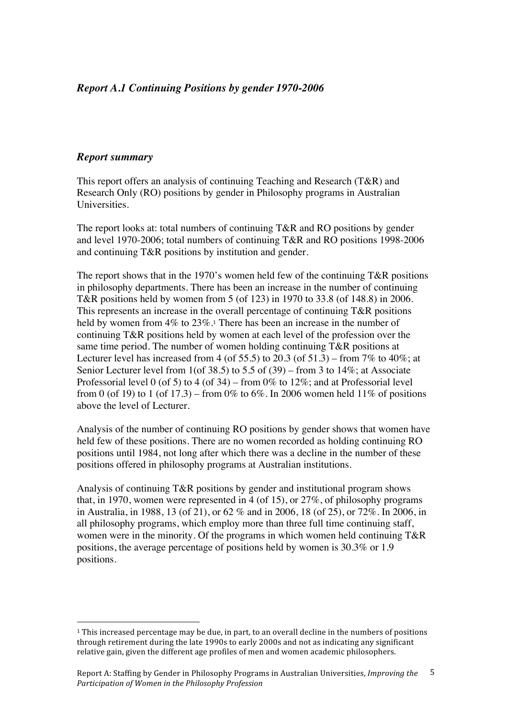## *Report A.1 Continuing Positions by gender 1970-2006*

#### *Report summary*

 $\overline{a}$ 

This report offers an analysis of continuing Teaching and Research (T&R) and Research Only (RO) positions by gender in Philosophy programs in Australian Universities.

The report looks at: total numbers of continuing T&R and RO positions by gender and level 1970-2006; total numbers of continuing T&R and RO positions 1998-2006 and continuing T&R positions by institution and gender.

The report shows that in the 1970's women held few of the continuing  $T\&R$  positions in philosophy departments. There has been an increase in the number of continuing T&R positions held by women from 5 (of 123) in 1970 to 33.8 (of 148.8) in 2006. This represents an increase in the overall percentage of continuing T&R positions held by women from 4% to 23%.<sup>1</sup> There has been an increase in the number of continuing T&R positions held by women at each level of the profession over the same time period. The number of women holding continuing T&R positions at Lecturer level has increased from 4 (of 55.5) to 20.3 (of 51.3) – from 7% to 40%; at Senior Lecturer level from 1(of 38.5) to 5.5 of (39) – from 3 to 14%; at Associate Professorial level 0 (of 5) to 4 (of 34) – from 0% to 12%; and at Professorial level from 0 (of 19) to 1 (of 17.3) – from 0% to 6%. In 2006 women held 11% of positions above the level of Lecturer.

Analysis of the number of continuing RO positions by gender shows that women have held few of these positions. There are no women recorded as holding continuing RO positions until 1984, not long after which there was a decline in the number of these positions offered in philosophy programs at Australian institutions.

Analysis of continuing T&R positions by gender and institutional program shows that, in 1970, women were represented in 4 (of 15), or 27%, of philosophy programs in Australia, in 1988, 13 (of 21), or 62 % and in 2006, 18 (of 25), or 72%. In 2006, in all philosophy programs, which employ more than three full time continuing staff, women were in the minority. Of the programs in which women held continuing T&R positions, the average percentage of positions held by women is 30.3% or 1.9 positions.

<sup>1</sup> This increased percentage may be due, in part, to an overall decline in the numbers of positions through retirement during the late 1990s to early 2000s and not as indicating any significant relative gain, given the different age profiles of men and women academic philosophers.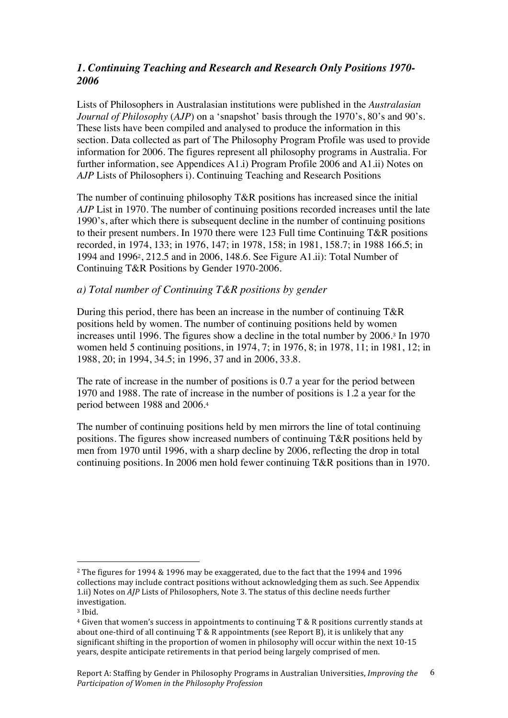# *1. Continuing Teaching and Research and Research Only Positions 1970- 2006*

Lists of Philosophers in Australasian institutions were published in the *Australasian Journal of Philosophy* (*AJP*) on a 'snapshot' basis through the 1970's, 80's and 90's. These lists have been compiled and analysed to produce the information in this section. Data collected as part of The Philosophy Program Profile was used to provide information for 2006. The figures represent all philosophy programs in Australia. For further information, see Appendices A1.i) Program Profile 2006 and A1.ii) Notes on *AJP* Lists of Philosophers i). Continuing Teaching and Research Positions

The number of continuing philosophy T&R positions has increased since the initial *AJP* List in 1970. The number of continuing positions recorded increases until the late 1990's, after which there is subsequent decline in the number of continuing positions to their present numbers. In 1970 there were 123 Full time Continuing T&R positions recorded, in 1974, 133; in 1976, 147; in 1978, 158; in 1981, 158.7; in 1988 166.5; in 1994 and 19962, 212.5 and in 2006, 148.6. See Figure A1.ii): Total Number of Continuing T&R Positions by Gender 1970-2006.

#### *a) Total number of Continuing T&R positions by gender*

During this period, there has been an increase in the number of continuing T&R positions held by women. The number of continuing positions held by women increases until 1996. The figures show a decline in the total number by 2006.3 In 1970 women held 5 continuing positions, in 1974, 7; in 1976, 8; in 1978, 11; in 1981, 12; in 1988, 20; in 1994, 34.5; in 1996, 37 and in 2006, 33.8.

The rate of increase in the number of positions is 0.7 a year for the period between 1970 and 1988. The rate of increase in the number of positions is 1.2 a year for the period between 1988 and 2006.<sup>4</sup>

The number of continuing positions held by men mirrors the line of total continuing positions. The figures show increased numbers of continuing T&R positions held by men from 1970 until 1996, with a sharp decline by 2006, reflecting the drop in total continuing positions. In 2006 men hold fewer continuing T&R positions than in 1970.

 $\overline{a}$ 

<sup>2</sup> The figures for 1994 & 1996 may be exaggerated, due to the fact that the 1994 and 1996 collections may include contract positions without acknowledging them as such. See Appendix 1.ii) Notes on *AJP* Lists of Philosophers, Note 3. The status of this decline needs further investigation.

<sup>3</sup> Ibid.

 $4$  Given that women's success in appointments to continuing T & R positions currently stands at about one‐third of all continuing T & R appointments (see Report B), it is unlikely that any significant shifting in the proportion of women in philosophy will occur within the next 10‐15 years, despite anticipate retirements in that period being largely comprised of men.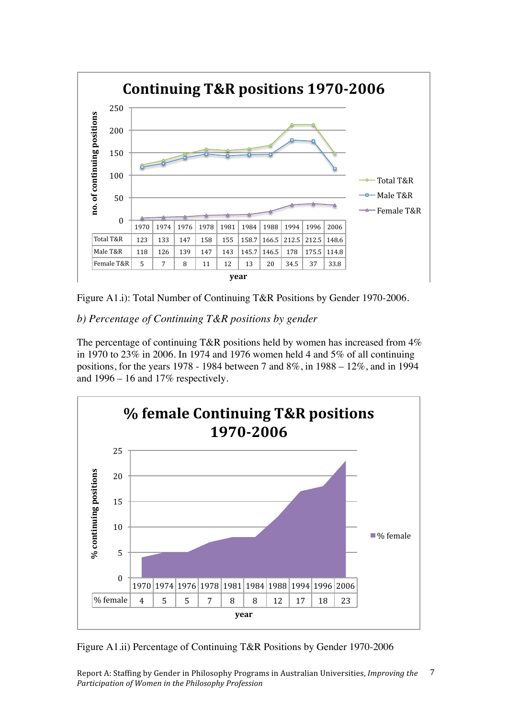

Figure A1.i): Total Number of Continuing T&R Positions by Gender 1970-2006.

*b) Percentage of Continuing T&R positions by gender* 

The percentage of continuing T&R positions held by women has increased from  $4\%$ in 1970 to 23% in 2006. In 1974 and 1976 women held 4 and 5% of all continuing positions, for the years 1978 - 1984 between 7 and 8%, in 1988 – 12%, and in 1994 and  $1996 - 16$  and  $17\%$  respectively.



Figure A1.ii) Percentage of Continuing T&R Positions by Gender 1970-2006

Report A: Staffing by Gender in Philosophy Programs in Australian Universities, *Improving the Participation of Women in the Philosophy Profession* 7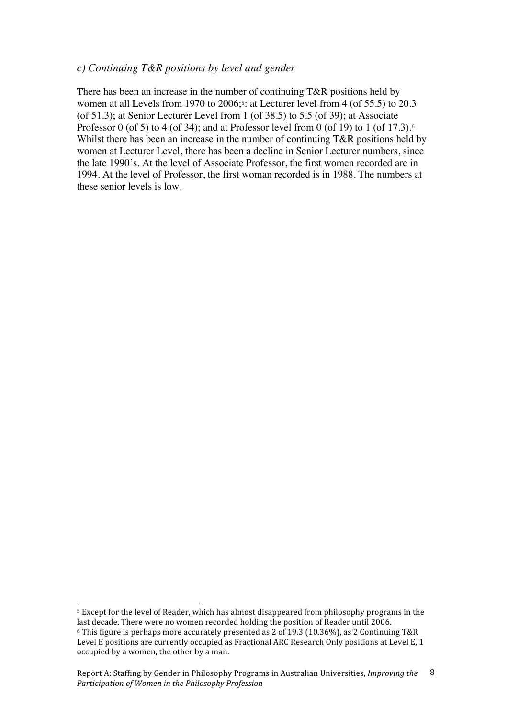#### *c) Continuing T&R positions by level and gender*

There has been an increase in the number of continuing T&R positions held by women at all Levels from 1970 to 2006;<sup>5</sup>: at Lecturer level from 4 (of 55.5) to 20.3 (of 51.3); at Senior Lecturer Level from 1 (of 38.5) to 5.5 (of 39); at Associate Professor 0 (of 5) to 4 (of 34); and at Professor level from 0 (of 19) to 1 (of 17.3).<sup>6</sup> Whilst there has been an increase in the number of continuing T&R positions held by women at Lecturer Level, there has been a decline in Senior Lecturer numbers, since the late 1990's. At the level of Associate Professor, the first women recorded are in 1994. At the level of Professor, the first woman recorded is in 1988. The numbers at these senior levels is low.

 $\overline{a}$ 

<sup>5</sup> Except for the level of Reader, which has almost disappeared from philosophy programs in the last decade. There were no women recorded holding the position of Reader until 2006.

<sup>6</sup> This figure is perhaps more accurately presented as 2 of 19.3 (10.36%), as 2 Continuing T&R Level E positions are currently occupied as Fractional ARC Research Only positions at Level E, 1 occupied by a women, the other by a man.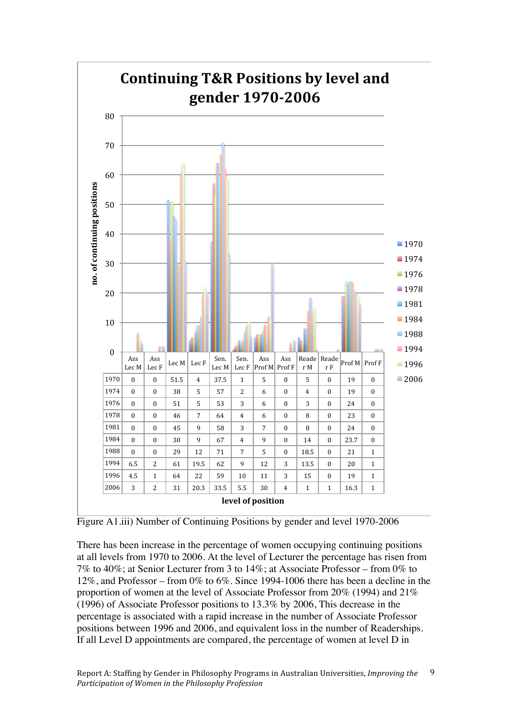

Figure A1.iii) Number of Continuing Positions by gender and level 1970-2006

There has been increase in the percentage of women occupying continuing positions at all levels from 1970 to 2006. At the level of Lecturer the percentage has risen from 7% to 40%; at Senior Lecturer from 3 to 14%; at Associate Professor – from 0% to 12%, and Professor – from 0% to 6%. Since 1994-1006 there has been a decline in the proportion of women at the level of Associate Professor from 20% (1994) and 21% (1996) of Associate Professor positions to 13.3% by 2006, This decrease in the percentage is associated with a rapid increase in the number of Associate Professor positions between 1996 and 2006, and equivalent loss in the number of Readerships. If all Level D appointments are compared, the percentage of women at level D in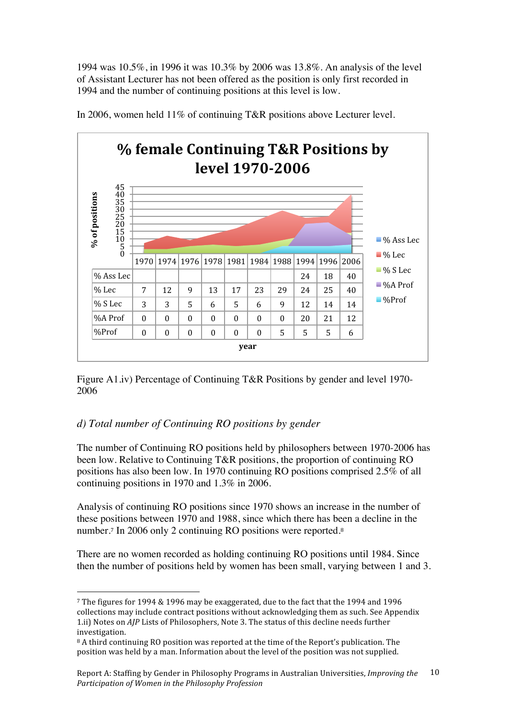1994 was 10.5%, in 1996 it was 10.3% by 2006 was 13.8%. An analysis of the level of Assistant Lecturer has not been offered as the position is only first recorded in 1994 and the number of continuing positions at this level is low.



In 2006, women held 11% of continuing T&R positions above Lecturer level.

Figure A1.iv) Percentage of Continuing T&R Positions by gender and level 1970- 2006

# *d) Total number of Continuing RO positions by gender*

 $\overline{a}$ 

The number of Continuing RO positions held by philosophers between 1970-2006 has been low. Relative to Continuing T&R positions, the proportion of continuing RO positions has also been low. In 1970 continuing RO positions comprised 2.5% of all continuing positions in 1970 and 1.3% in 2006.

Analysis of continuing RO positions since 1970 shows an increase in the number of these positions between 1970 and 1988, since which there has been a decline in the number.<sup>7</sup> In 2006 only 2 continuing RO positions were reported.<sup>8</sup>

There are no women recorded as holding continuing RO positions until 1984. Since then the number of positions held by women has been small, varying between 1 and 3.

<sup>7</sup> The figures for 1994 & 1996 may be exaggerated, due to the fact that the 1994 and 1996 collections may include contract positions without acknowledging them as such. See Appendix 1.ii) Notes on *AJP* Lists of Philosophers, Note 3. The status of this decline needs further investigation.

<sup>8</sup> A third continuing RO position was reported at the time of the Report's publication. The position was held by a man. Information about the level of the position was not supplied.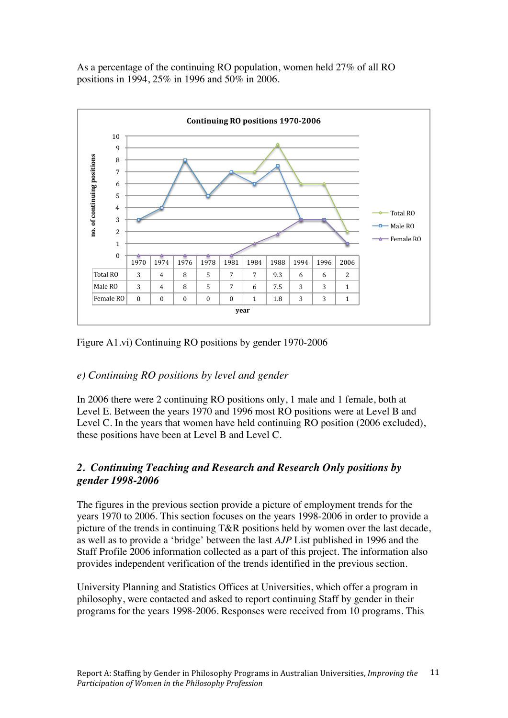As a percentage of the continuing RO population, women held 27% of all RO positions in 1994, 25% in 1996 and 50% in 2006.



Figure A1.vi) Continuing RO positions by gender 1970-2006

# *e) Continuing RO positions by level and gender*

In 2006 there were 2 continuing RO positions only, 1 male and 1 female, both at Level E. Between the years 1970 and 1996 most RO positions were at Level B and Level C. In the years that women have held continuing RO position (2006 excluded), these positions have been at Level B and Level C.

# *2. Continuing Teaching and Research and Research Only positions by gender 1998-2006*

The figures in the previous section provide a picture of employment trends for the years 1970 to 2006. This section focuses on the years 1998-2006 in order to provide a picture of the trends in continuing T&R positions held by women over the last decade, as well as to provide a 'bridge' between the last *AJP* List published in 1996 and the Staff Profile 2006 information collected as a part of this project. The information also provides independent verification of the trends identified in the previous section.

University Planning and Statistics Offices at Universities, which offer a program in philosophy, were contacted and asked to report continuing Staff by gender in their programs for the years 1998-2006. Responses were received from 10 programs. This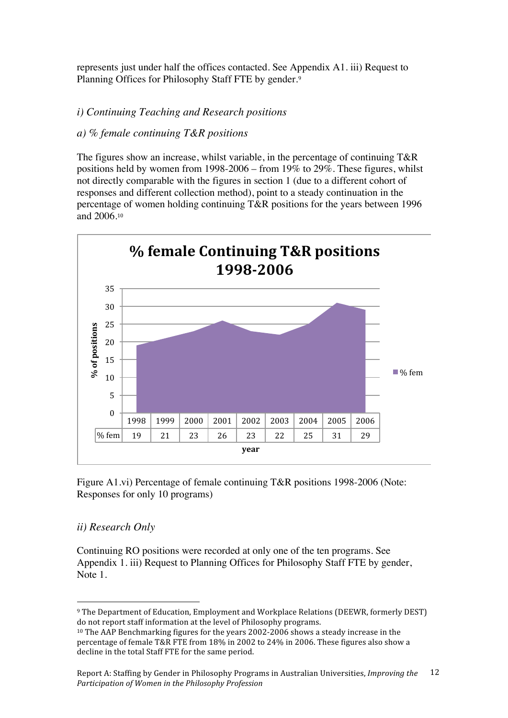represents just under half the offices contacted. See Appendix A1. iii) Request to Planning Offices for Philosophy Staff FTE by gender.<sup>9</sup>

## *i) Continuing Teaching and Research positions*

#### *a) % female continuing T&R positions*

The figures show an increase, whilst variable, in the percentage of continuing T&R positions held by women from 1998-2006 – from 19% to 29%. These figures, whilst not directly comparable with the figures in section 1 (due to a different cohort of responses and different collection method), point to a steady continuation in the percentage of women holding continuing T&R positions for the years between 1996 and 2006.<sup>10</sup>



Figure A1.vi) Percentage of female continuing T&R positions 1998-2006 (Note: Responses for only 10 programs)

#### *ii) Research Only*

 $\overline{a}$ 

Continuing RO positions were recorded at only one of the ten programs. See Appendix 1. iii) Request to Planning Offices for Philosophy Staff FTE by gender, Note 1.

<sup>9</sup> The Department of Education, Employment and Workplace Relations (DEEWR, formerly DEST) do not report staff information at the level of Philosophy programs.

<sup>10</sup> The AAP Benchmarking figures for the years 2002‐2006 shows a steady increase in the percentage of female T&R FTE from 18% in 2002 to 24% in 2006. These figures also show a decline in the total Staff FTE for the same period.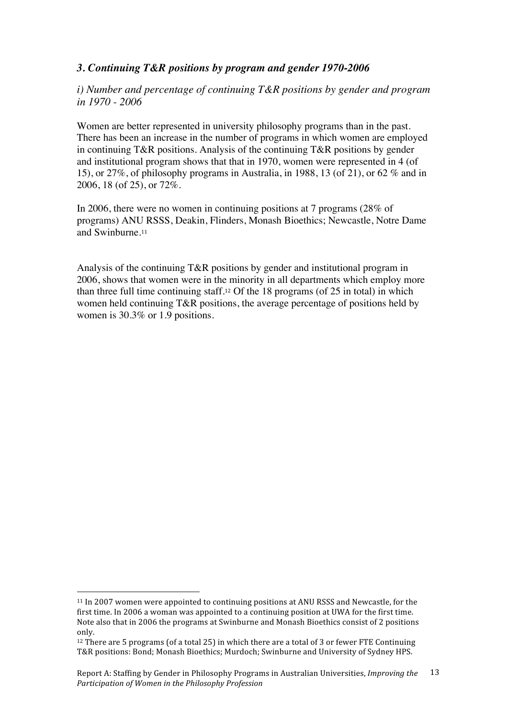# *3. Continuing T&R positions by program and gender 1970-2006*

*i) Number and percentage of continuing T&R positions by gender and program in 1970 - 2006*

Women are better represented in university philosophy programs than in the past. There has been an increase in the number of programs in which women are employed in continuing T&R positions. Analysis of the continuing T&R positions by gender and institutional program shows that that in 1970, women were represented in 4 (of 15), or 27%, of philosophy programs in Australia, in 1988, 13 (of 21), or 62 % and in 2006, 18 (of 25), or 72%.

In 2006, there were no women in continuing positions at 7 programs (28% of programs) ANU RSSS, Deakin, Flinders, Monash Bioethics; Newcastle, Notre Dame and Swinburne.<sup>11</sup>

Analysis of the continuing T&R positions by gender and institutional program in 2006, shows that women were in the minority in all departments which employ more than three full time continuing staff.12 Of the 18 programs (of 25 in total) in which women held continuing T&R positions, the average percentage of positions held by women is 30.3% or 1.9 positions.

 $\overline{a}$ 

<sup>11</sup> In 2007 women were appointed to continuing positions at ANU RSSS and Newcastle, for the first time. In 2006 a woman was appointed to a continuing position at UWA for the first time. Note also that in 2006 the programs at Swinburne and Monash Bioethics consist of 2 positions only.

 $12$  There are 5 programs (of a total 25) in which there are a total of 3 or fewer FTE Continuing T&R positions: Bond; Monash Bioethics; Murdoch; Swinburne and University of Sydney HPS.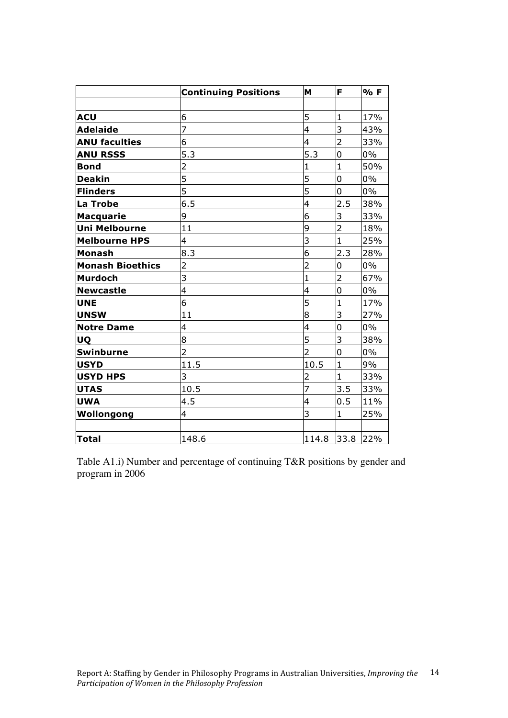|                         | <b>Continuing Positions</b> | M              | F              | % F   |
|-------------------------|-----------------------------|----------------|----------------|-------|
|                         |                             |                |                |       |
| <b>ACU</b>              | 6                           | 5              | $\mathbf{1}$   | 17%   |
| <b>Adelaide</b>         | 7                           | $\overline{4}$ | 3              | 43%   |
| <b>ANU faculties</b>    | 6                           | $\overline{4}$ | $\overline{2}$ | 33%   |
| <b>ANU RSSS</b>         | 5.3                         | 5.3            | 0              | $0\%$ |
| <b>Bond</b>             | $\overline{2}$              | $\mathbf{1}$   | $\mathbf{1}$   | 50%   |
| <b>Deakin</b>           | 5                           | 5              | 0              | $0\%$ |
| <b>Flinders</b>         | 5                           | 5              | 0              | $0\%$ |
| La Trobe                | 6.5                         | $\overline{4}$ | 2.5            | 38%   |
| <b>Macquarie</b>        | 9                           | 6              | 3              | 33%   |
| <b>Uni Melbourne</b>    | 11                          | 9              | $\overline{2}$ | 18%   |
| <b>Melbourne HPS</b>    | 4                           | 3              | $\mathbf{1}$   | 25%   |
| Monash                  | 8.3                         | 6              | 2.3            | 28%   |
| <b>Monash Bioethics</b> | $\overline{2}$              | $\overline{2}$ | 0              | 0%    |
| <b>Murdoch</b>          | 3                           | $\mathbf{1}$   | $\overline{2}$ | 67%   |
| <b>Newcastle</b>        | $\overline{4}$              | $\overline{4}$ | 0              | $0\%$ |
| <b>UNE</b>              | 6                           | 5              | $\mathbf{1}$   | 17%   |
| <b>UNSW</b>             | 11                          | 8              | 3              | 27%   |
| <b>Notre Dame</b>       | 4                           | $\overline{4}$ | 0              | $0\%$ |
| <b>UQ</b>               | 8                           | 5              | 3              | 38%   |
| <b>Swinburne</b>        | $\overline{2}$              | $\overline{2}$ | 0              | $0\%$ |
| <b>USYD</b>             | 11.5                        | 10.5           | $\mathbf{1}$   | 9%    |
| <b>USYD HPS</b>         | 3                           | $\overline{2}$ | $\mathbf{1}$   | 33%   |
| <b>UTAS</b>             | 10.5                        | 7              | 3.5            | 33%   |
| <b>UWA</b>              | 4.5                         | $\overline{4}$ | 0.5            | 11%   |
| Wollongong              | 4                           | 3              | $\mathbf{1}$   | 25%   |
|                         |                             |                |                |       |
| <b>Total</b>            | 148.6                       | 114.8          | 33.8           | 22%   |

Table A1.i) Number and percentage of continuing T&R positions by gender and program in 2006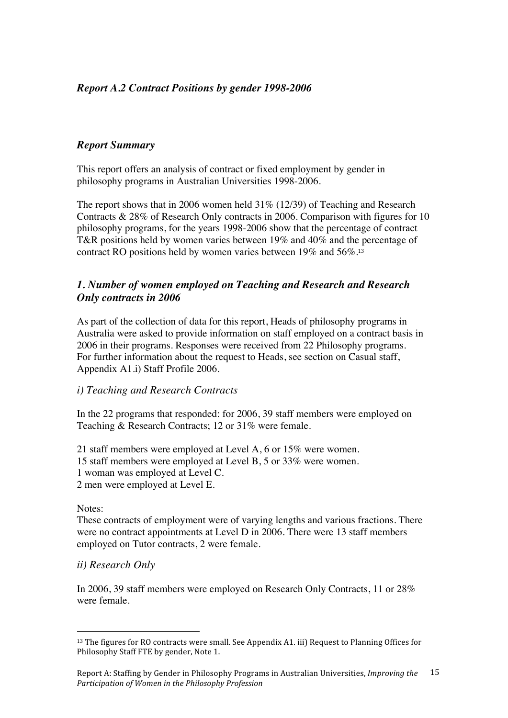# *Report A.2 Contract Positions by gender 1998-2006*

## *Report Summary*

This report offers an analysis of contract or fixed employment by gender in philosophy programs in Australian Universities 1998-2006.

The report shows that in 2006 women held 31% (12/39) of Teaching and Research Contracts & 28% of Research Only contracts in 2006. Comparison with figures for 10 philosophy programs, for the years 1998-2006 show that the percentage of contract T&R positions held by women varies between 19% and 40% and the percentage of contract RO positions held by women varies between 19% and 56%.<sup>13</sup>

## *1. Number of women employed on Teaching and Research and Research Only contracts in 2006*

As part of the collection of data for this report, Heads of philosophy programs in Australia were asked to provide information on staff employed on a contract basis in 2006 in their programs. Responses were received from 22 Philosophy programs. For further information about the request to Heads, see section on Casual staff, Appendix A1.i) Staff Profile 2006.

#### *i) Teaching and Research Contracts*

In the 22 programs that responded: for 2006, 39 staff members were employed on Teaching & Research Contracts; 12 or 31% were female.

21 staff members were employed at Level A, 6 or 15% were women.

15 staff members were employed at Level B, 5 or 33% were women.

1 woman was employed at Level C.

2 men were employed at Level E.

Notes:

 $\overline{a}$ 

These contracts of employment were of varying lengths and various fractions. There were no contract appointments at Level D in 2006. There were 13 staff members employed on Tutor contracts, 2 were female.

#### *ii) Research Only*

In 2006, 39 staff members were employed on Research Only Contracts, 11 or 28% were female.

<sup>&</sup>lt;sup>13</sup> The figures for RO contracts were small. See Appendix A1. iii) Request to Planning Offices for Philosophy Staff FTE by gender, Note 1.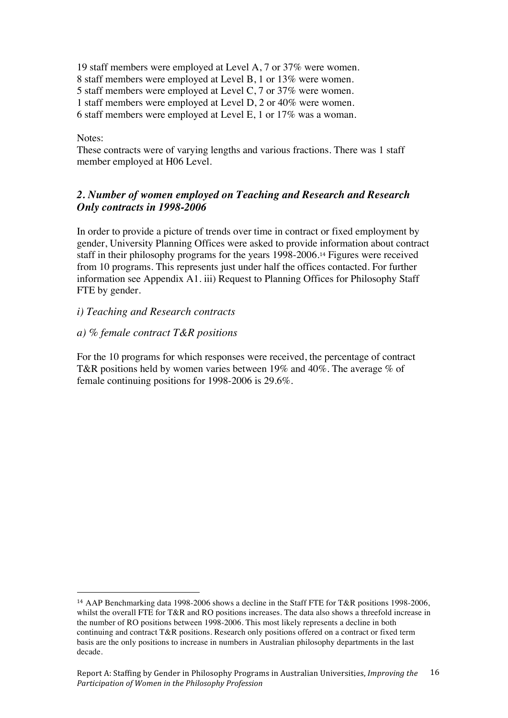19 staff members were employed at Level A, 7 or 37% were women.

8 staff members were employed at Level B, 1 or 13% were women.

5 staff members were employed at Level C, 7 or 37% were women.

1 staff members were employed at Level D, 2 or 40% were women.

6 staff members were employed at Level E, 1 or 17% was a woman.

#### Notes:

 $\overline{a}$ 

These contracts were of varying lengths and various fractions. There was 1 staff member employed at H06 Level.

# *2. Number of women employed on Teaching and Research and Research Only contracts in 1998-2006*

In order to provide a picture of trends over time in contract or fixed employment by gender, University Planning Offices were asked to provide information about contract staff in their philosophy programs for the years 1998-2006.14 Figures were received from 10 programs. This represents just under half the offices contacted. For further information see Appendix A1. iii) Request to Planning Offices for Philosophy Staff FTE by gender.

*i) Teaching and Research contracts*

## *a) % female contract T&R positions*

For the 10 programs for which responses were received, the percentage of contract T&R positions held by women varies between 19% and 40%. The average % of female continuing positions for 1998-2006 is 29.6%.

<sup>14</sup> AAP Benchmarking data 1998-2006 shows a decline in the Staff FTE for T&R positions 1998-2006, whilst the overall FTE for T&R and RO positions increases. The data also shows a threefold increase in the number of RO positions between 1998-2006. This most likely represents a decline in both continuing and contract T&R positions. Research only positions offered on a contract or fixed term basis are the only positions to increase in numbers in Australian philosophy departments in the last decade.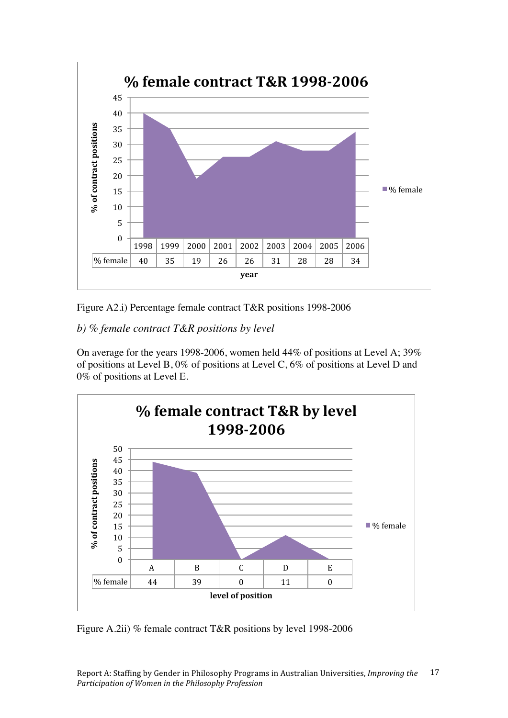

Figure A2.i) Percentage female contract T&R positions 1998-2006

# *b) % female contract T&R positions by level*

On average for the years 1998-2006, women held 44% of positions at Level A; 39% of positions at Level B, 0% of positions at Level C, 6% of positions at Level D and 0% of positions at Level E.



Figure A.2ii) % female contract T&R positions by level 1998-2006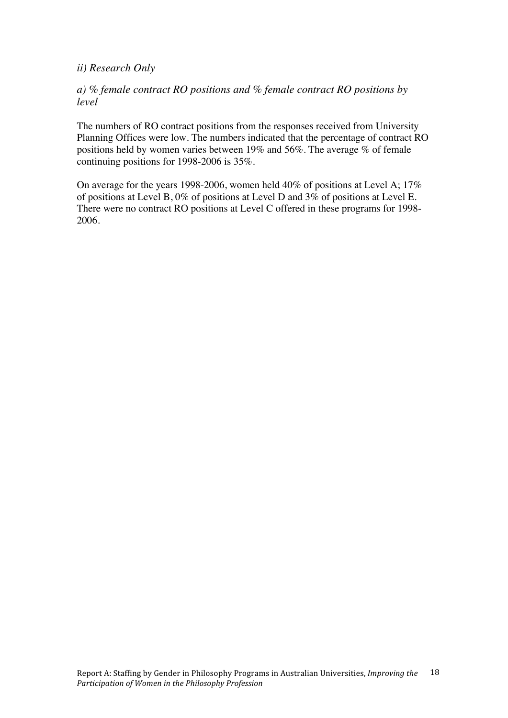## *ii) Research Only*

## *a) % female contract RO positions and % female contract RO positions by level*

The numbers of RO contract positions from the responses received from University Planning Offices were low. The numbers indicated that the percentage of contract RO positions held by women varies between 19% and 56%. The average % of female continuing positions for 1998-2006 is 35%.

On average for the years 1998-2006, women held 40% of positions at Level A; 17% of positions at Level B, 0% of positions at Level D and 3% of positions at Level E. There were no contract RO positions at Level C offered in these programs for 1998- 2006.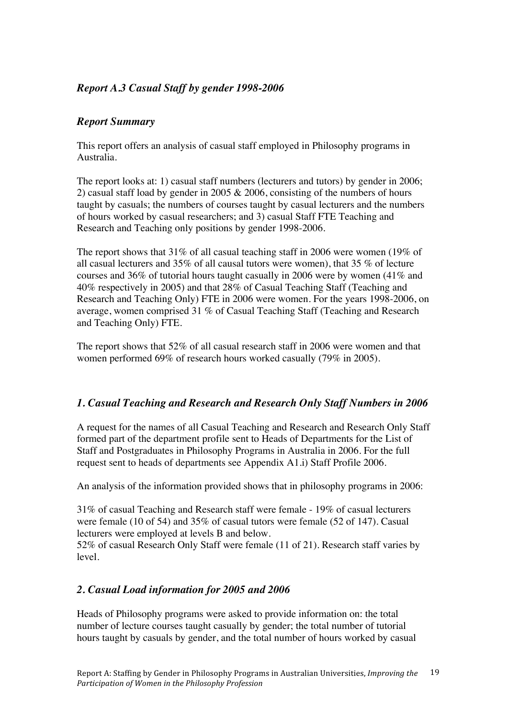# *Report A.3 Casual Staff by gender 1998-2006*

# *Report Summary*

This report offers an analysis of casual staff employed in Philosophy programs in Australia.

The report looks at: 1) casual staff numbers (lecturers and tutors) by gender in 2006; 2) casual staff load by gender in 2005 & 2006, consisting of the numbers of hours taught by casuals; the numbers of courses taught by casual lecturers and the numbers of hours worked by casual researchers; and 3) casual Staff FTE Teaching and Research and Teaching only positions by gender 1998-2006.

The report shows that 31% of all casual teaching staff in 2006 were women (19% of all casual lecturers and 35% of all causal tutors were women), that 35 % of lecture courses and 36% of tutorial hours taught casually in 2006 were by women (41% and 40% respectively in 2005) and that 28% of Casual Teaching Staff (Teaching and Research and Teaching Only) FTE in 2006 were women. For the years 1998-2006, on average, women comprised 31 % of Casual Teaching Staff (Teaching and Research and Teaching Only) FTE.

The report shows that 52% of all casual research staff in 2006 were women and that women performed 69% of research hours worked casually (79% in 2005).

# *1. Casual Teaching and Research and Research Only Staff Numbers in 2006*

A request for the names of all Casual Teaching and Research and Research Only Staff formed part of the department profile sent to Heads of Departments for the List of Staff and Postgraduates in Philosophy Programs in Australia in 2006. For the full request sent to heads of departments see Appendix A1.i) Staff Profile 2006.

An analysis of the information provided shows that in philosophy programs in 2006:

31% of casual Teaching and Research staff were female - 19% of casual lecturers were female (10 of 54) and 35% of casual tutors were female (52 of 147). Casual lecturers were employed at levels B and below.

52% of casual Research Only Staff were female (11 of 21). Research staff varies by level.

# *2. Casual Load information for 2005 and 2006*

Heads of Philosophy programs were asked to provide information on: the total number of lecture courses taught casually by gender; the total number of tutorial hours taught by casuals by gender, and the total number of hours worked by casual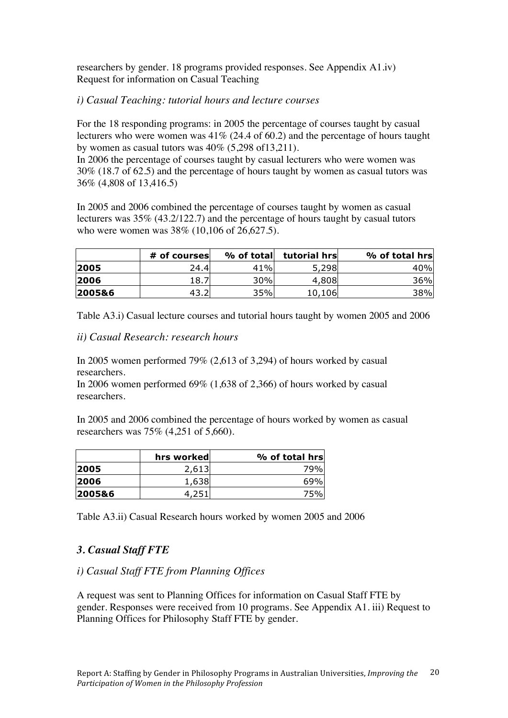researchers by gender. 18 programs provided responses. See Appendix A1.iv) Request for information on Casual Teaching

# *i) Casual Teaching: tutorial hours and lecture courses*

For the 18 responding programs: in 2005 the percentage of courses taught by casual lecturers who were women was 41% (24.4 of 60.2) and the percentage of hours taught by women as casual tutors was 40% (5,298 of13,211).

In 2006 the percentage of courses taught by casual lecturers who were women was 30% (18.7 of 62.5) and the percentage of hours taught by women as casual tutors was 36% (4,808 of 13,416.5)

In 2005 and 2006 combined the percentage of courses taught by women as casual lecturers was 35% (43.2/122.7) and the percentage of hours taught by casual tutors who were women was 38% (10,106 of 26,627.5).

|        | # of courses | % of totall | tutorial hrsl | % of total hrs |
|--------|--------------|-------------|---------------|----------------|
| 2005   | 24.4         | 41%         | 5,298         | 40%            |
| 2006   | 18.7         | 30%         | 4,808         | 36%            |
| 2005&6 |              | 35%         | 10,106        | 38%            |

Table A3.i) Casual lecture courses and tutorial hours taught by women 2005 and 2006

*ii) Casual Research: research hours*

In 2005 women performed 79% (2,613 of 3,294) of hours worked by casual researchers.

In 2006 women performed 69% (1,638 of 2,366) of hours worked by casual researchers.

In 2005 and 2006 combined the percentage of hours worked by women as casual researchers was 75% (4,251 of 5,660).

|        | hrs worked | % of total hrs |
|--------|------------|----------------|
| 2005   | 2.613      | 79%            |
| 2006   | 1,638      | 69%            |
| 2005&6 |            | 75%            |

Table A3.ii) Casual Research hours worked by women 2005 and 2006

# *3. Casual Staff FTE*

#### *i) Casual Staff FTE from Planning Offices*

A request was sent to Planning Offices for information on Casual Staff FTE by gender. Responses were received from 10 programs. See Appendix A1. iii) Request to Planning Offices for Philosophy Staff FTE by gender.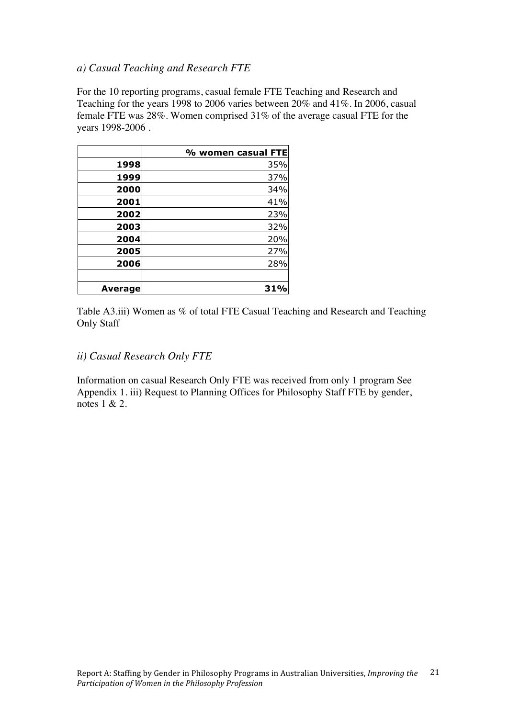## *a) Casual Teaching and Research FTE*

For the 10 reporting programs, casual female FTE Teaching and Research and Teaching for the years 1998 to 2006 varies between 20% and 41%. In 2006, casual female FTE was 28%. Women comprised 31% of the average casual FTE for the years 1998-2006 .

|         | % women casual FTE |
|---------|--------------------|
| 1998    | 35%                |
| 1999    | 37%                |
| 2000    | 34%                |
| 2001    | 41%                |
| 2002    | 23%                |
| 2003    | 32%                |
| 2004    | 20%                |
| 2005    | 27%                |
| 2006    | 28%                |
|         |                    |
| Average | 31%                |

Table A3.iii) Women as % of total FTE Casual Teaching and Research and Teaching Only Staff

#### *ii) Casual Research Only FTE*

Information on casual Research Only FTE was received from only 1 program See Appendix 1. iii) Request to Planning Offices for Philosophy Staff FTE by gender, notes 1 & 2.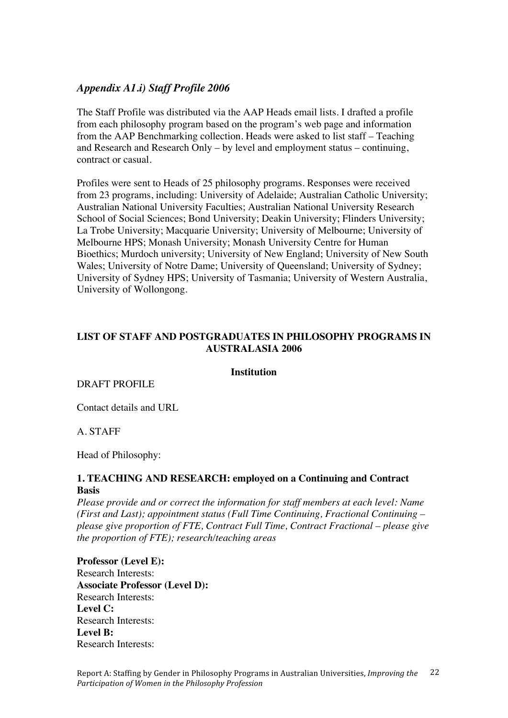## *Appendix A1.i) Staff Profile 2006*

The Staff Profile was distributed via the AAP Heads email lists. I drafted a profile from each philosophy program based on the program's web page and information from the AAP Benchmarking collection. Heads were asked to list staff – Teaching and Research and Research Only – by level and employment status – continuing, contract or casual.

Profiles were sent to Heads of 25 philosophy programs. Responses were received from 23 programs, including: University of Adelaide; Australian Catholic University; Australian National University Faculties; Australian National University Research School of Social Sciences; Bond University; Deakin University; Flinders University; La Trobe University; Macquarie University; University of Melbourne; University of Melbourne HPS; Monash University; Monash University Centre for Human Bioethics; Murdoch university; University of New England; University of New South Wales; University of Notre Dame; University of Queensland; University of Sydney; University of Sydney HPS; University of Tasmania; University of Western Australia, University of Wollongong.

## **LIST OF STAFF AND POSTGRADUATES IN PHILOSOPHY PROGRAMS IN AUSTRALASIA 2006**

#### **Institution**

#### DRAFT PROFILE

Contact details and URL

A. STAFF

Head of Philosophy:

#### **1. TEACHING AND RESEARCH: employed on a Continuing and Contract Basis**

*Please provide and or correct the information for staff members at each level: Name (First and Last); appointment status (Full Time Continuing, Fractional Continuing – please give proportion of FTE, Contract Full Time, Contract Fractional – please give the proportion of FTE); research/teaching areas*

**Professor (Level E):**  Research Interests: **Associate Professor (Level D):**  Research Interests: **Level C:** Research Interests: **Level B:** Research Interests: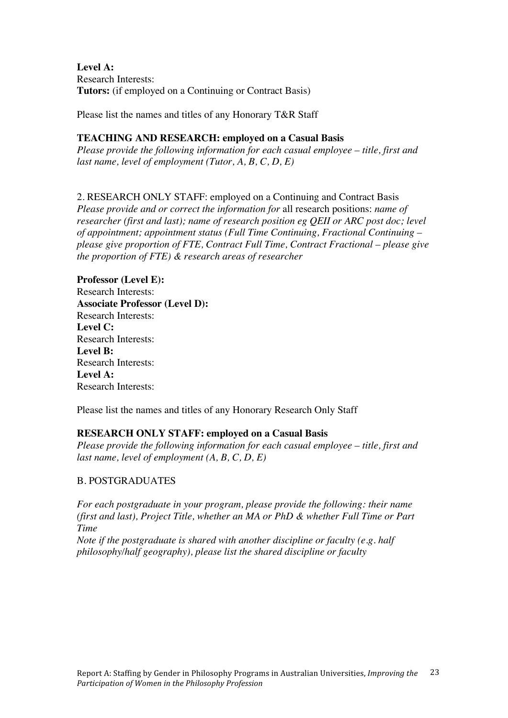**Level A:** Research Interests: **Tutors:** (if employed on a Continuing or Contract Basis)

Please list the names and titles of any Honorary T&R Staff

#### **TEACHING AND RESEARCH: employed on a Casual Basis**

*Please provide the following information for each casual employee – title, first and last name, level of employment (Tutor, A, B, C, D, E)*

## 2. RESEARCH ONLY STAFF: employed on a Continuing and Contract Basis

*Please provide and or correct the information for* all research positions: *name of researcher (first and last); name of research position eg QEII or ARC post doc; level of appointment; appointment status (Full Time Continuing, Fractional Continuing – please give proportion of FTE, Contract Full Time, Contract Fractional – please give the proportion of FTE) & research areas of researcher*

**Professor (Level E):**  Research Interests: **Associate Professor (Level D):**  Research Interests: **Level C:** Research Interests: **Level B:** Research Interests: **Level A:** Research Interests:

Please list the names and titles of any Honorary Research Only Staff

#### **RESEARCH ONLY STAFF: employed on a Casual Basis**

*Please provide the following information for each casual employee – title, first and last name, level of employment (A, B, C, D, E)*

## B. POSTGRADUATES

*For each postgraduate in your program, please provide the following: their name (first and last), Project Title, whether an MA or PhD & whether Full Time or Part Time*

*Note if the postgraduate is shared with another discipline or faculty (e.g. half philosophy/half geography), please list the shared discipline or faculty*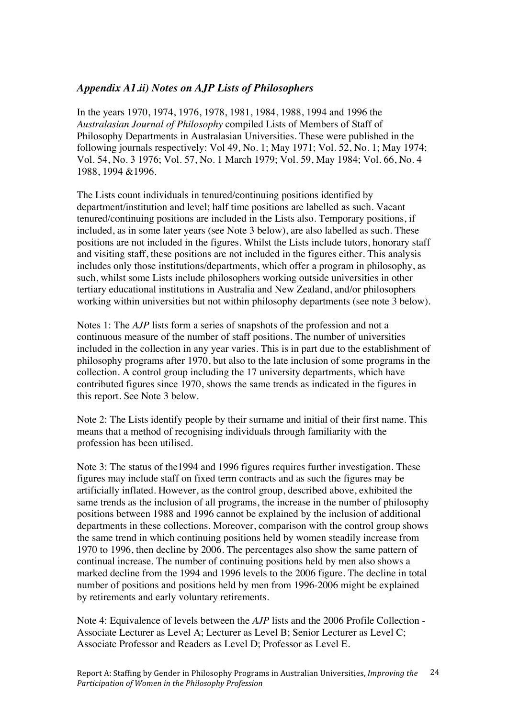## *Appendix A1.ii) Notes on AJP Lists of Philosophers*

In the years 1970, 1974, 1976, 1978, 1981, 1984, 1988, 1994 and 1996 the *Australasian Journal of Philosophy* compiled Lists of Members of Staff of Philosophy Departments in Australasian Universities. These were published in the following journals respectively: Vol 49, No. 1; May 1971; Vol. 52, No. 1; May 1974; Vol. 54, No. 3 1976; Vol. 57, No. 1 March 1979; Vol. 59, May 1984; Vol. 66, No. 4 1988, 1994 &1996.

The Lists count individuals in tenured/continuing positions identified by department/institution and level; half time positions are labelled as such. Vacant tenured/continuing positions are included in the Lists also. Temporary positions, if included, as in some later years (see Note 3 below), are also labelled as such. These positions are not included in the figures. Whilst the Lists include tutors, honorary staff and visiting staff, these positions are not included in the figures either. This analysis includes only those institutions/departments, which offer a program in philosophy, as such, whilst some Lists include philosophers working outside universities in other tertiary educational institutions in Australia and New Zealand, and/or philosophers working within universities but not within philosophy departments (see note 3 below).

Notes 1: The *AJP* lists form a series of snapshots of the profession and not a continuous measure of the number of staff positions. The number of universities included in the collection in any year varies. This is in part due to the establishment of philosophy programs after 1970, but also to the late inclusion of some programs in the collection. A control group including the 17 university departments, which have contributed figures since 1970, shows the same trends as indicated in the figures in this report. See Note 3 below.

Note 2: The Lists identify people by their surname and initial of their first name. This means that a method of recognising individuals through familiarity with the profession has been utilised.

Note 3: The status of the1994 and 1996 figures requires further investigation. These figures may include staff on fixed term contracts and as such the figures may be artificially inflated. However, as the control group, described above, exhibited the same trends as the inclusion of all programs, the increase in the number of philosophy positions between 1988 and 1996 cannot be explained by the inclusion of additional departments in these collections. Moreover, comparison with the control group shows the same trend in which continuing positions held by women steadily increase from 1970 to 1996, then decline by 2006. The percentages also show the same pattern of continual increase. The number of continuing positions held by men also shows a marked decline from the 1994 and 1996 levels to the 2006 figure. The decline in total number of positions and positions held by men from 1996-2006 might be explained by retirements and early voluntary retirements.

Note 4: Equivalence of levels between the *AJP* lists and the 2006 Profile Collection - Associate Lecturer as Level A; Lecturer as Level B; Senior Lecturer as Level C; Associate Professor and Readers as Level D; Professor as Level E.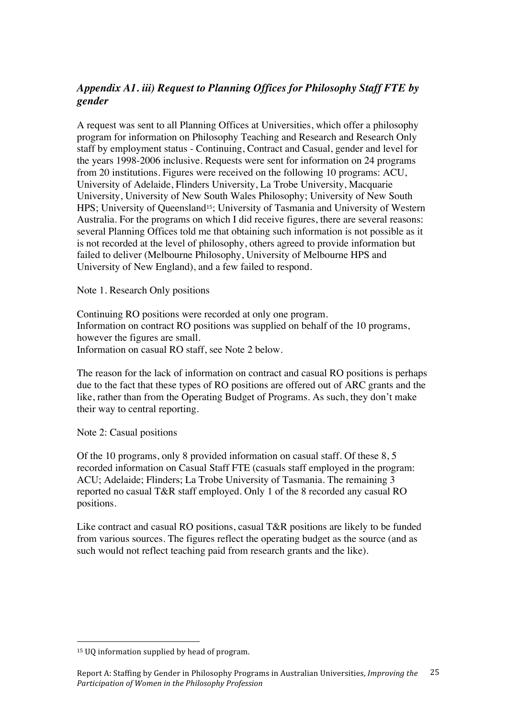# *Appendix A1. iii) Request to Planning Offices for Philosophy Staff FTE by gender*

A request was sent to all Planning Offices at Universities, which offer a philosophy program for information on Philosophy Teaching and Research and Research Only staff by employment status - Continuing, Contract and Casual, gender and level for the years 1998-2006 inclusive. Requests were sent for information on 24 programs from 20 institutions. Figures were received on the following 10 programs: ACU, University of Adelaide, Flinders University, La Trobe University, Macquarie University, University of New South Wales Philosophy; University of New South HPS; University of Queensland15; University of Tasmania and University of Western Australia. For the programs on which I did receive figures, there are several reasons: several Planning Offices told me that obtaining such information is not possible as it is not recorded at the level of philosophy, others agreed to provide information but failed to deliver (Melbourne Philosophy, University of Melbourne HPS and University of New England), and a few failed to respond.

Note 1. Research Only positions

Continuing RO positions were recorded at only one program. Information on contract RO positions was supplied on behalf of the 10 programs, however the figures are small. Information on casual RO staff, see Note 2 below.

The reason for the lack of information on contract and casual RO positions is perhaps due to the fact that these types of RO positions are offered out of ARC grants and the like, rather than from the Operating Budget of Programs. As such, they don't make their way to central reporting.

Note 2: Casual positions

Of the 10 programs, only 8 provided information on casual staff. Of these 8, 5 recorded information on Casual Staff FTE (casuals staff employed in the program: ACU; Adelaide; Flinders; La Trobe University of Tasmania. The remaining 3 reported no casual T&R staff employed. Only 1 of the 8 recorded any casual RO positions.

Like contract and casual RO positions, casual T&R positions are likely to be funded from various sources. The figures reflect the operating budget as the source (and as such would not reflect teaching paid from research grants and the like).

 $\overline{a}$ 

<sup>15</sup> UQ information supplied by head of program.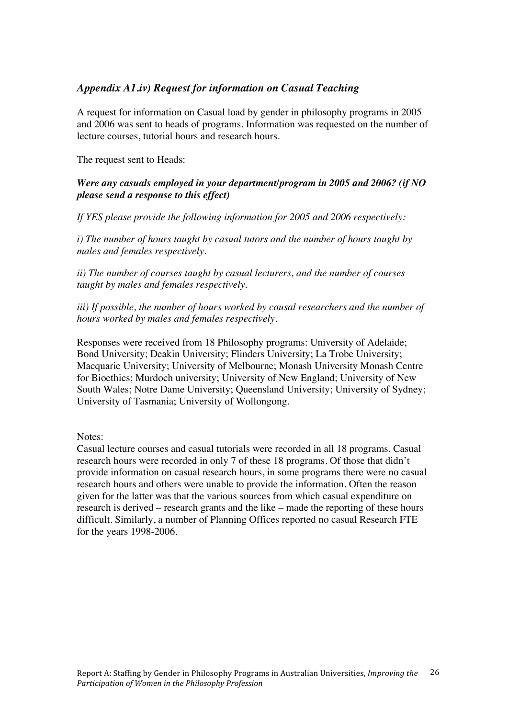## *Appendix A1.iv) Request for information on Casual Teaching*

A request for information on Casual load by gender in philosophy programs in 2005 and 2006 was sent to heads of programs. Information was requested on the number of lecture courses, tutorial hours and research hours.

The request sent to Heads:

#### *Were any casuals employed in your department/program in 2005 and 2006? (if NO please send a response to this effect)*

*If YES please provide the following information for 2005 and 2006 respectively:*

*i) The number of hours taught by casual tutors and the number of hours taught by males and females respectively.*

*ii) The number of courses taught by casual lecturers, and the number of courses taught by males and females respectively.*

*iii) If possible, the number of hours worked by causal researchers and the number of hours worked by males and females respectively.*

Responses were received from 18 Philosophy programs: University of Adelaide; Bond University; Deakin University; Flinders University; La Trobe University; Macquarie University; University of Melbourne; Monash University Monash Centre for Bioethics; Murdoch university; University of New England; University of New South Wales; Notre Dame University; Queensland University; University of Sydney; University of Tasmania; University of Wollongong.

Notes:

Casual lecture courses and casual tutorials were recorded in all 18 programs. Casual research hours were recorded in only 7 of these 18 programs. Of those that didn't provide information on casual research hours, in some programs there were no casual research hours and others were unable to provide the information. Often the reason given for the latter was that the various sources from which casual expenditure on research is derived – research grants and the like – made the reporting of these hours difficult. Similarly, a number of Planning Offices reported no casual Research FTE for the years 1998-2006.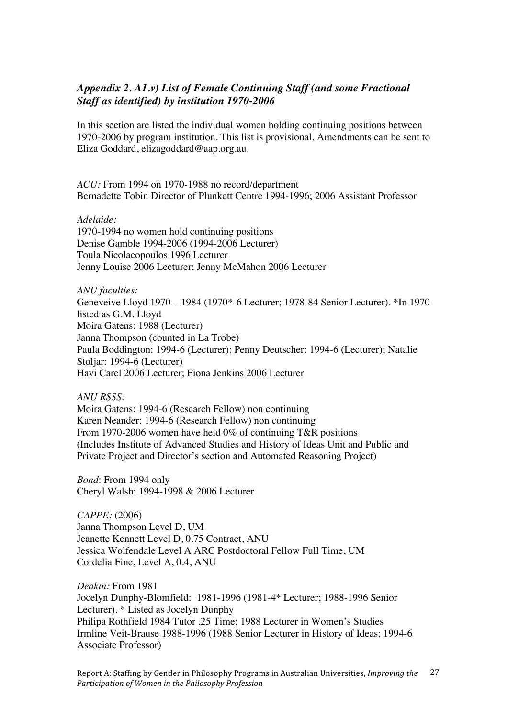## *Appendix 2. A1.v) List of Female Continuing Staff (and some Fractional Staff as identified) by institution 1970-2006*

In this section are listed the individual women holding continuing positions between 1970-2006 by program institution. This list is provisional. Amendments can be sent to Eliza Goddard, elizagoddard@aap.org.au.

*ACU:* From 1994 on 1970-1988 no record/department Bernadette Tobin Director of Plunkett Centre 1994-1996; 2006 Assistant Professor

#### *Adelaide:*

1970-1994 no women hold continuing positions Denise Gamble 1994-2006 (1994-2006 Lecturer) Toula Nicolacopoulos 1996 Lecturer Jenny Louise 2006 Lecturer; Jenny McMahon 2006 Lecturer

*ANU faculties:*  Geneveive Lloyd 1970 – 1984 (1970\*-6 Lecturer; 1978-84 Senior Lecturer). \*In 1970 listed as G.M. Lloyd Moira Gatens: 1988 (Lecturer) Janna Thompson (counted in La Trobe) Paula Boddington: 1994-6 (Lecturer); Penny Deutscher: 1994-6 (Lecturer); Natalie Stoljar: 1994-6 (Lecturer) Havi Carel 2006 Lecturer; Fiona Jenkins 2006 Lecturer

*ANU RSSS:* 

Moira Gatens: 1994-6 (Research Fellow) non continuing Karen Neander: 1994-6 (Research Fellow) non continuing From 1970-2006 women have held 0% of continuing T&R positions (Includes Institute of Advanced Studies and History of Ideas Unit and Public and Private Project and Director's section and Automated Reasoning Project)

*Bond*: From 1994 only Cheryl Walsh: 1994-1998 & 2006 Lecturer

*CAPPE:* (2006) Janna Thompson Level D, UM Jeanette Kennett Level D, 0.75 Contract, ANU Jessica Wolfendale Level A ARC Postdoctoral Fellow Full Time, UM Cordelia Fine, Level A, 0.4, ANU

*Deakin:* From 1981 Jocelyn Dunphy-Blomfield: 1981-1996 (1981-4\* Lecturer; 1988-1996 Senior Lecturer). \* Listed as Jocelyn Dunphy Philipa Rothfield 1984 Tutor .25 Time; 1988 Lecturer in Women's Studies Irmline Veit-Brause 1988-1996 (1988 Senior Lecturer in History of Ideas; 1994-6 Associate Professor)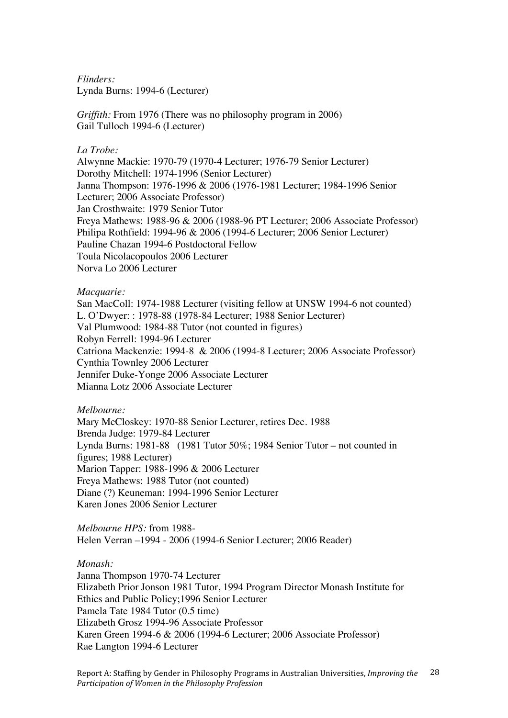*Flinders:* Lynda Burns: 1994-6 (Lecturer)

*Griffith:* From 1976 (There was no philosophy program in 2006) Gail Tulloch 1994-6 (Lecturer)

#### *La Trobe:*

Alwynne Mackie: 1970-79 (1970-4 Lecturer; 1976-79 Senior Lecturer) Dorothy Mitchell: 1974-1996 (Senior Lecturer) Janna Thompson: 1976-1996 & 2006 (1976-1981 Lecturer; 1984-1996 Senior Lecturer; 2006 Associate Professor) Jan Crosthwaite: 1979 Senior Tutor Freya Mathews: 1988-96 & 2006 (1988-96 PT Lecturer; 2006 Associate Professor) Philipa Rothfield: 1994-96 & 2006 (1994-6 Lecturer; 2006 Senior Lecturer) Pauline Chazan 1994-6 Postdoctoral Fellow Toula Nicolacopoulos 2006 Lecturer Norva Lo 2006 Lecturer

#### *Macquarie:*

San MacColl: 1974-1988 Lecturer (visiting fellow at UNSW 1994-6 not counted) L. O'Dwyer: : 1978-88 (1978-84 Lecturer; 1988 Senior Lecturer) Val Plumwood: 1984-88 Tutor (not counted in figures) Robyn Ferrell: 1994-96 Lecturer Catriona Mackenzie: 1994-8 & 2006 (1994-8 Lecturer; 2006 Associate Professor) Cynthia Townley 2006 Lecturer Jennifer Duke-Yonge 2006 Associate Lecturer Mianna Lotz 2006 Associate Lecturer

#### *Melbourne:*

Mary McCloskey: 1970-88 Senior Lecturer, retires Dec. 1988 Brenda Judge: 1979-84 Lecturer Lynda Burns: 1981-88 (1981 Tutor 50%; 1984 Senior Tutor – not counted in figures; 1988 Lecturer) Marion Tapper: 1988-1996 & 2006 Lecturer Freya Mathews: 1988 Tutor (not counted) Diane (?) Keuneman: 1994-1996 Senior Lecturer Karen Jones 2006 Senior Lecturer

*Melbourne HPS:* from 1988- Helen Verran –1994 - 2006 (1994-6 Senior Lecturer; 2006 Reader)

#### *Monash:*

Janna Thompson 1970-74 Lecturer Elizabeth Prior Jonson 1981 Tutor, 1994 Program Director Monash Institute for Ethics and Public Policy;1996 Senior Lecturer Pamela Tate 1984 Tutor (0.5 time) Elizabeth Grosz 1994-96 Associate Professor Karen Green 1994-6 & 2006 (1994-6 Lecturer; 2006 Associate Professor) Rae Langton 1994-6 Lecturer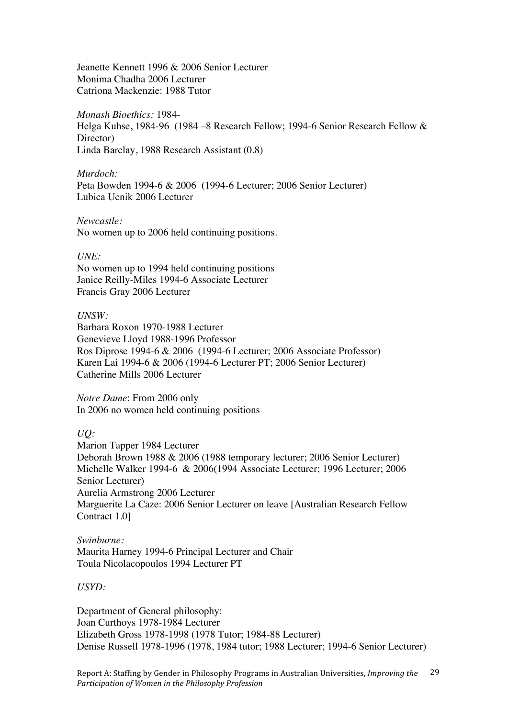Jeanette Kennett 1996 & 2006 Senior Lecturer Monima Chadha 2006 Lecturer Catriona Mackenzie: 1988 Tutor

*Monash Bioethics:* 1984-

Helga Kuhse, 1984-96 (1984 –8 Research Fellow; 1994-6 Senior Research Fellow & Director) Linda Barclay, 1988 Research Assistant (0.8)

*Murdoch:* Peta Bowden 1994-6 & 2006 (1994-6 Lecturer; 2006 Senior Lecturer) Lubica Ucnik 2006 Lecturer

#### *Newcastle:*

No women up to 2006 held continuing positions.

#### *UNE:*

No women up to 1994 held continuing positions Janice Reilly-Miles 1994-6 Associate Lecturer Francis Gray 2006 Lecturer

#### *UNSW:*

Barbara Roxon 1970-1988 Lecturer Genevieve Lloyd 1988-1996 Professor Ros Diprose 1994-6 & 2006 (1994-6 Lecturer; 2006 Associate Professor) Karen Lai 1994-6 & 2006 (1994-6 Lecturer PT; 2006 Senior Lecturer) Catherine Mills 2006 Lecturer

*Notre Dame*: From 2006 only In 2006 no women held continuing positions

*UQ:*

Marion Tapper 1984 Lecturer Deborah Brown 1988 & 2006 (1988 temporary lecturer; 2006 Senior Lecturer) Michelle Walker 1994-6 & 2006(1994 Associate Lecturer; 1996 Lecturer; 2006 Senior Lecturer) Aurelia Armstrong 2006 Lecturer Marguerite La Caze: 2006 Senior Lecturer on leave [Australian Research Fellow Contract 1.0]

*Swinburne:* Maurita Harney 1994-6 Principal Lecturer and Chair Toula Nicolacopoulos 1994 Lecturer PT

*USYD:*

Department of General philosophy: Joan Curthoys 1978-1984 Lecturer Elizabeth Gross 1978-1998 (1978 Tutor; 1984-88 Lecturer) Denise Russell 1978-1996 (1978, 1984 tutor; 1988 Lecturer; 1994-6 Senior Lecturer)